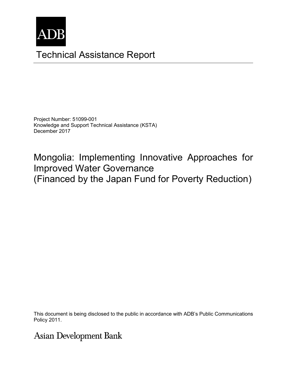

# Technical Assistance Report

Project Number: 51099-001 Knowledge and Support Technical Assistance (KSTA) December 2017

Mongolia: Implementing Innovative Approaches for Improved Water Governance (Financed by the Japan Fund for Poverty Reduction)

This document is being disclosed to the public in accordance with  $\Delta\mathsf{DP}$ 's Public Communications This document is being disclosed to the public in accordance with ADB's Public Communications<br>Pelisy 2011 Policy 2011.

**Asian Development Bank**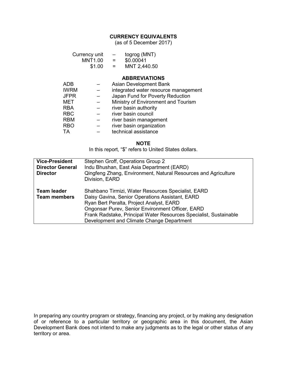#### **CURRENCY EQUIVALENTS**

(as of 5 December 2017)

|             | Currency unit<br><b>MNT1.00</b><br>\$1.00 | togrog (MNT)<br>$-$<br>\$0.00041<br>$=$<br>MNT 2,440.50<br>$=$ |
|-------------|-------------------------------------------|----------------------------------------------------------------|
|             |                                           | <b>ABBREVIATIONS</b>                                           |
| ADB         |                                           | <b>Asian Development Bank</b>                                  |
| <b>IWRM</b> |                                           | integrated water resource management                           |
| <b>JFPR</b> |                                           | Japan Fund for Poverty Reduction                               |
| MET         |                                           | Ministry of Environment and Tourism                            |
| <b>RBA</b>  |                                           | river basin authority                                          |
| <b>RBC</b>  |                                           | river basin council                                            |
| ----        |                                           |                                                                |

RBM – river basin management

- RBO river basin organization
- TA technical assistance

#### **NOTE**

In this report, "\$" refers to United States dollars.

| <b>Vice-President</b><br><b>Director General</b><br><b>Director</b> | Stephen Groff, Operations Group 2<br>Indu Bhushan, East Asia Department (EARD)<br>Qingfeng Zhang, Environment, Natural Resources and Agriculture<br>Division, EARD                                                                                                                                                             |
|---------------------------------------------------------------------|--------------------------------------------------------------------------------------------------------------------------------------------------------------------------------------------------------------------------------------------------------------------------------------------------------------------------------|
| <b>Team leader</b><br><b>Team members</b>                           | Shahbano Tirmizi, Water Resources Specialist, EARD<br>Daisy Gavina, Senior Operations Assistant, EARD<br>Ryan Bert Peralta, Project Analyst, EARD<br><b>Ongonsar Purev, Senior Environment Officer, EARD</b><br>Frank Radstake, Principal Water Resources Specialist, Sustainable<br>Development and Climate Change Department |

In preparing any country program or strategy, financing any project, or by making any designation of or reference to a particular territory or geographic area in this document, the Asian Development Bank does not intend to make any judgments as to the legal or other status of any territory or area.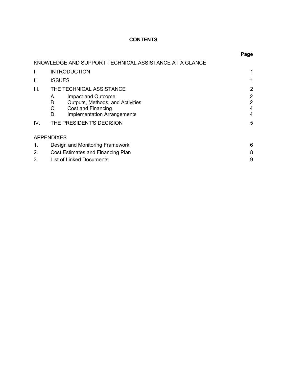# **CONTENTS**

|      |                                                                                                                                            | Page                          |
|------|--------------------------------------------------------------------------------------------------------------------------------------------|-------------------------------|
|      | KNOWLEDGE AND SUPPORT TECHNICAL ASSISTANCE AT A GLANCE                                                                                     |                               |
| I.   | <b>INTRODUCTION</b>                                                                                                                        |                               |
| Ш.   | <b>ISSUES</b>                                                                                                                              |                               |
| III. | THE TECHNICAL ASSISTANCE                                                                                                                   | 2                             |
|      | Impact and Outcome<br>А.<br>Outputs, Methods, and Activities<br>В.<br>С.<br>Cost and Financing<br><b>Implementation Arrangements</b><br>D. | 2<br>$\overline{2}$<br>4<br>4 |
| IV.  | THE PRESIDENT'S DECISION                                                                                                                   | 5                             |
|      | <b>APPENDIXES</b>                                                                                                                          |                               |
| 1.   | Design and Monitoring Framework                                                                                                            | 6                             |
| 2.   | Cost Estimates and Financing Plan                                                                                                          |                               |
| 3.   | <b>List of Linked Documents</b>                                                                                                            | 9                             |

## **P**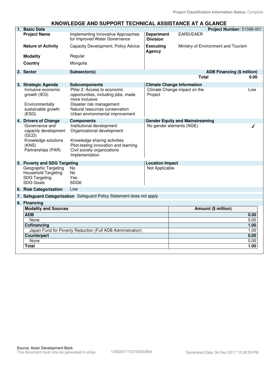### **KNOWLEDGE AND SUPPORT TECHNICAL ASSISTANCE AT A GLANCE**

| 1. Basic Data                                                                                         |                                                                                                                                                                                        |                                |                                        | Project Number: 51099-001 |
|-------------------------------------------------------------------------------------------------------|----------------------------------------------------------------------------------------------------------------------------------------------------------------------------------------|--------------------------------|----------------------------------------|---------------------------|
| <b>Project Name</b>                                                                                   | Implementing Innovative Approaches<br>for Improved Water Governance                                                                                                                    | <b>Department</b><br>/Division | <b>EARD/EAER</b>                       |                           |
| <b>Nature of Activity</b>                                                                             | Capacity Development, Policy Advice                                                                                                                                                    | <b>Executing</b><br>Agency     | Ministry of Environment and Tourism    |                           |
| <b>Modality</b>                                                                                       | Regular                                                                                                                                                                                |                                |                                        |                           |
| <b>Country</b>                                                                                        | Mongolia                                                                                                                                                                               |                                |                                        |                           |
| 2. Sector                                                                                             | Subsector(s)                                                                                                                                                                           |                                | <b>ADB Financing (\$ million)</b>      |                           |
|                                                                                                       |                                                                                                                                                                                        |                                | <b>Total</b>                           | 0.00                      |
| 3. Strategic Agenda                                                                                   | <b>Subcomponents</b>                                                                                                                                                                   |                                | <b>Climate Change Information</b>      |                           |
| Inclusive economic<br>growth (IEG)<br>Environmentally<br>sustainable growth<br>(ESG)                  | Pillar 2: Access to economic<br>opportunities, including jobs, made<br>more inclusive<br>Disaster risk management<br>Natural resources conservation<br>Urban environmental improvement | Project                        | Climate Change impact on the           | Low                       |
| 4. Drivers of Change                                                                                  | <b>Components</b>                                                                                                                                                                      |                                | <b>Gender Equity and Mainstreaming</b> |                           |
| Governance and<br>capacity development<br>(GCD)<br>Knowledge solutions<br>(KNS)<br>Partnerships (PAR) | Institutional development<br>Organizational development<br>Knowledge sharing activities<br>Pilot-testing innovation and learning<br>Civil society organizations<br>Implementation      |                                | No gender elements (NGE)               |                           |
| 5. Poverty and SDG Targeting                                                                          |                                                                                                                                                                                        | <b>Location Impact</b>         |                                        |                           |
| Geographic Targeting<br>Household Targeting<br><b>SDG Targeting</b><br><b>SDG Goals</b>               | No<br>No<br>Yes<br>SDG <sub>6</sub>                                                                                                                                                    | Not Applicable                 |                                        |                           |
| 6. Risk Categorization                                                                                | Low                                                                                                                                                                                    |                                |                                        |                           |
|                                                                                                       | 7. Safeguard Categorization Safeguard Policy Statement does not apply                                                                                                                  |                                |                                        |                           |
| 8. Financing                                                                                          |                                                                                                                                                                                        |                                |                                        |                           |
| <b>Modality and Sources</b>                                                                           |                                                                                                                                                                                        |                                | Amount (\$ million)                    |                           |
| <b>ADB</b>                                                                                            |                                                                                                                                                                                        |                                |                                        | 0.00                      |
| None                                                                                                  |                                                                                                                                                                                        |                                |                                        | 0.00                      |
| <b>Cofinancing</b>                                                                                    |                                                                                                                                                                                        |                                |                                        | 1.00                      |
|                                                                                                       | Japan Fund for Poverty Reduction (Full ADB Administration)                                                                                                                             |                                |                                        | 1.00                      |
| <b>Counterpart</b>                                                                                    |                                                                                                                                                                                        |                                |                                        | 0.00                      |
| None                                                                                                  |                                                                                                                                                                                        |                                |                                        | 0.00                      |
| Total                                                                                                 |                                                                                                                                                                                        |                                |                                        | 1.00                      |
|                                                                                                       |                                                                                                                                                                                        |                                |                                        |                           |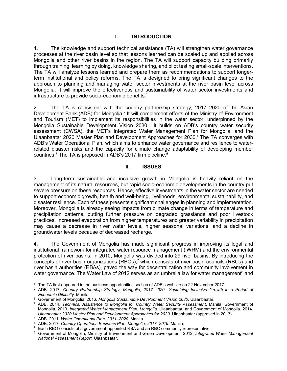### **I. INTRODUCTION**

1. The knowledge and support technical assistance (TA) will strengthen water governance processes at the river basin level so that lessons learned can be scaled up and applied across Mongolia and other river basins in the region. The TA will support capacity building primarily through training, learning by doing, knowledge sharing, and pilot testing small-scale interventions. The TA will analyze lessons learned and prepare them as recommendations to support longerterm institutional and policy reforms. The TA is designed to bring significant changes to the approach to planning and managing water sector investments at the river basin level across Mongolia. It will improve the effectiveness and sustainability of water sector investments and infrastructure to provide socio-economic benefits.<sup>1</sup>

2. The TA is consistent with the country partnership strategy, 2017–2020 of the Asian Development Bank (ADB) for Mongolia.<sup>2</sup> It will complement efforts of the Ministry of Environment and Tourism (MET) to implement its responsibilities in the water sector, underpinned by the Mongolia Sustainable Development Vision 2030.<sup>3</sup> It builds on ADB's country water security assessment (CWSA), the MET's Integrated Water Management Plan for Mongolia, and the Ulaanbaatar 2020 Master Plan and Development Approaches for 2030.<sup>4</sup> The TA converges with ADB's Water Operational Plan, which aims to enhance water governance and resilience to waterrelated disaster risks and the capacity for climate change adaptability of developing member countries.<sup>5</sup> The TA is proposed in ADB's 2017 firm pipeline.<sup>6</sup>

### **II. ISSUES**

3. Long-term sustainable and inclusive growth in Mongolia is heavily reliant on the management of its natural resources, but rapid socio-economic developments in the country put severe pressure on these resources. Hence, effective investments in the water sector are needed to support economic growth, health and well-being, livelihoods, environmental sustainability, and disaster resilience. Each of these presents significant challenges in planning and implementation. Moreover, Mongolia is already seeing impacts from climate change in terms of temperature and precipitation patterns, putting further pressure on degraded grasslands and poor livestock practices. Increased evaporation from higher temperatures and greater variability in precipitation may cause a decrease in river water levels, higher seasonal variations, and a decline in groundwater levels because of decreased recharge.

4. The Government of Mongolia has made significant progress in improving its legal and institutional framework for integrated water resource management (IWRM) and the environmental protection of river basins. In 2010, Mongolia was divided into 29 river basins. By introducing the concepts of river basin organizations (RBOs),<sup>7</sup> which consists of river basin councils (RBCs) and river basin authorities (RBAs), paved the way for decentralization and community involvement in water governance. The Water Law of 2012 serves as an umbrella law for water management $^{\rm 8}$  and

 1 The TA first appeared in the business opportunities section of ADB's website on 22 November 2017.

<sup>2</sup> ADB. 2017. *Country Partnership Strategy: Mongolia, 2017–2020—Sustaining Inclusive Growth in a Period of Economic Difficulty*. Manila.

<sup>3</sup> Government of Mongolia. 2016. *Mongolia Sustainable Development Vision 2030*. Ulaanbaatar.

<sup>4</sup> ADB. 2014. *Technical Assistance to Mongolia for Country Water Security Assessment*. Manila; Government of Mongolia. 2013. *Integrated Water Management Plan: Mongolia*. Ulaanbaatar; and Government of Mongolia. 2014. *Ulaanbaatar 2020 Master Plan and Development Approaches for 2030*. Ulaanbaatar (approved in 2013).

<sup>5</sup> ADB. 2011. *Water Operational Plan, 2011–2020.* Manila.

<sup>6</sup> ADB. 2017. *Country Operations Business Plan: Mongolia, 2017–2019*. Manila.

 $7$  Each RBO consists of a government-appointed RBA and an RBC community representative.

<sup>8</sup> Government of Mongolia, Ministry of Environment and Green Development. 2012. *Integrated Water Management National Assessment Report*. Ulaanbaatar.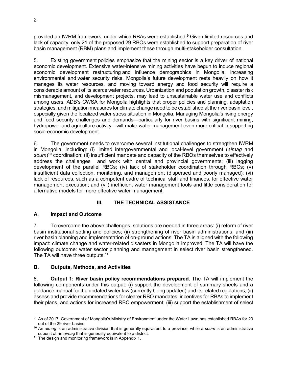provided an IWRM framework, under which RBAs were established.<sup>9</sup> Given limited resources and lack of capacity, only 21 of the proposed 29 RBOs were established to support preparation of river basin management (RBM) plans and implement these through multi-stakeholder consultation.

5. Existing government policies emphasize that the mining sector is a key driver of national economic development. Extensive water-intensive mining activities have begun to induce regional economic development restructuring and influence demographics in Mongolia, increasing environmental and water security risks. Mongolia's future development rests heavily on how it manages its water resources, and moving toward energy and food security will require a considerable amount of its scarce water resources. Urbanization and population growth, disaster risk mismanagement, and development projects, may lead to unsustainable water use and conflicts among users. ADB's CWSA for Mongolia highlights that proper policies and planning, adaptation strategies, and mitigation measures for climate change need to be established at the river basin level, especially given the localized water stress situation in Mongolia. Managing Mongolia's rising energy and food security challenges and demands—particularly for river basins with significant mining, hydropower and agriculture activity—will make water management even more critical in supporting socio-economic development.

6. The government needs to overcome several institutional challenges to strengthen IWRM in Mongolia, including: (i) limited intergovernmental and local-level government (*aimag* and soum)<sup>10</sup> coordination; (ii) insufficient mandate and capacity of the RBOs themselves to effectively address the challenges and work with central and provincial governments; (iii) lagging development of the parallel RBCs; (iv) lack of stakeholder coordination through RBCs; (v) insufficient data collection, monitoring, and management (dispersed and poorly managed); (vi) lack of resources, such as a competent cadre of technical staff and finances, for effective water management execution; and (vii) inefficient water management tools and little consideration for alternative models for more effective water management.

## **III. THE TECHNICAL ASSISTANCE**

## **A. Impact and Outcome**

7. To overcome the above challenges, solutions are needed in three areas: (i) reform of river basin institutional setting and policies; (ii) strengthening of river basin administrations; and (iii) river basin planning and implementation of on-ground actions. The TA is aligned with the following impact: climate change and water-related disasters in Mongolia improved. The TA will have the following outcome: water sector planning and management in select river basin strengthened. The TA will have three outputs.<sup>11</sup>

## **B. Outputs, Methods, and Activities**

8. **Output 1: River basin policy recommendations prepared.** The TA will implement the following components under this output: (i) support the development of summary sheets and a guidance manual for the updated water law (currently being updated) and its related regulations; (ii) assess and provide recommendations for clearer RBO mandates, incentives for RBAs to implement their plans, and actions for increased RBC empowerment; (iii) support the establishment of select

 $\overline{a}$  $^9\,$  As of 2017, Government of Mongolia's Ministry of Environment under the Water Lawn has established RBAs for 23 out of the 29 river basins.

<sup>10</sup> An *aimag* is an administrative division that is generally equivalent to a province, while a *soum* is an administrative subunit of an *aimag* that is generally equivalent to a district.

<sup>&</sup>lt;sup>11</sup> The design and monitoring framework is in Appendix 1.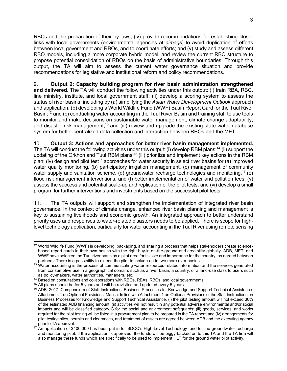RBCs and the preparation of their by-laws; (iv) provide recommendations for establishing closer links with local governments (environmental agencies at *aimags*) to avoid duplication of efforts between local government and RBOs, and to coordinate efforts; and (v) study and assess different RBO models, including a more corporate hybrid model, and review the current RBO structure to propose potential consolidation of RBOs on the basis of administrative boundaries. Through this output, the TA will aim to assess the current water governance situation and provide recommendations for legislative and institutional reform and policy recommendations.

9. **Output 2: Capacity building program for river basin administration strengthened and delivered.** The TA will conduct the following activities under this output: (i) train RBA, RBC, line ministry, institute, and local government staff; (ii) develop a scoring system to assess the status of river basins, including by (a) simplifying the *Asian Water Development Outlook* approach and application; (b) developing a World Wildlife Fund (WWF) Basin Report Card for the Tuul River Basin;<sup>12</sup> and (c) conducting water accounting in the Tuul River Basin and training staff to use tools to monitor and make decisions on sustainable water management, climate change adaptability, and disaster risk management;<sup>13</sup> and (iii) review and upgrade the existing state water database system for better centralized data collection and interaction between RBOs and the MET.

10. **Output 3: Actions and approaches for better river basin management implemented.** The TA will conduct the following activities under this output: (i) develop RBM plans;<sup>14</sup> (ii) support the updating of the Orkhon and Tuul RBM plans;<sup>15</sup> (iii) prioritize and implement key actions in the RBM plan; (iv) design and pilot test<sup>16</sup> approaches for water security in select river basins for (a) improved water quality monitoring, (b) participatory irrigation management, (c) management of community water supply and sanitation scheme, (d) groundwater recharge technologies and monitoring,<sup>17</sup> (e) flood risk management interventions, and (f) better implementation of water and pollution fees; (v) assess the success and potential scale-up and replication of the pilot tests; and (vi) develop a small program for further interventions and investments based on the successful pilot tests.

11. The TA outputs will support and strengthen the implementation of integrated river basin governance. In the context of climate change, enhanced river basin planning and management is key to sustaining livelihoods and economic growth. An integrated approach to better understand priority uses and responses to water-related disasters needs to be applied. There is scope for highlevel technology application, particularly for water accounting in the Tuul River using remote sensing

 $\overline{a}$  $12$  World Wildlife Fund (WWF) is developing, packaging, and sharing a process that helps stakeholders create sciencebased report cards in their own basins with the right buy-in on-the-ground and credibility globally. ADB, MET, and WWF have selected the Tuul river basin as a pilot area for its size and importance for the country, as agreed between partners. There is a possibility to extend the pilot to include up to two more river basins.

<sup>&</sup>lt;sup>13</sup> Water accounting is the process of communicating water resources-related information and the services generated from consumptive use in a geographical domain, such as a river basin, a country, or a land-use class to users such as policy-makers, water authorities, managers, etc.

<sup>&</sup>lt;sup>14</sup> Based on consultations and collaborations with RBOs, RBAs, RBCs, and local governments.

 $15$  All plans should be for 5 years and will be revisited and updated every 5 years.

<sup>16</sup> ADB. 2017. Compendium of Staff Instructions. Business Processes for Knowledge and Support Technical Assistance. Attachment 1 on Optional Provisions. Manila. In line with Attachment 1 on Optional Provisions of the Staff Instructions on Business Processes for Knowledge and Support Technical Assistance, (i) the pilot testing amount will not exceed 30% of the estimated ADB financing amount; (ii) activities will not result in any potential adverse environmental and/or social impacts and will be classified category C for the social and environment safeguards; (iii) goods, services, and works required for the pilot testing will be listed in a procurement plan to be prepared in the TA report; and (iv) arrangements for pilot testing sites, permits and clearances, and treatment of assets are agreed between ADB and the executing agency prior to TA approval.

<sup>17</sup> An application of \$400,000 has been put in for SDCC's High-Level Technology fund for the groundwater recharge and monitoring pilot. If the application is approved, the funds will be piggy-backed on to this TA and the TA firm will also manage these funds which are specifically to be used to implement HLT for the ground water pilot activity.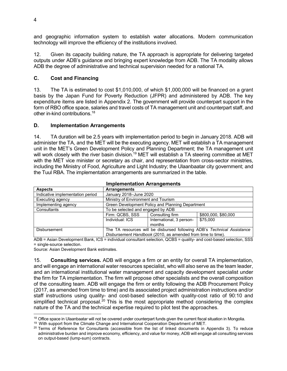and geographic information system to establish water allocations. Modern communication technology will improve the efficiency of the institutions involved.

12. Given its capacity building nature, the TA approach is appropriate for delivering targeted outputs under ADB's guidance and bringing expert knowledge from ADB. The TA modality allows ADB the degree of administrative and technical supervision needed for a national TA.

## **C. Cost and Financing**

13. The TA is estimated to cost \$1,010,000, of which \$1,000,000 will be financed on a grant basis by the Japan Fund for Poverty Reduction (JFPR) and administered by ADB. The key expenditure items are listed in Appendix 2. The government will provide counterpart support in the form of RBO office space, salaries and travel costs of TA management unit and counterpart staff, and other in-kind contributions.<sup>18</sup>

### **D. Implementation Arrangements**

14. TA duration will be 2.5 years with implementation period to begin in January 2018. ADB will administer the TA, and the MET will be the executing agency. MET will establish a TA management unit in the MET's Green Development Policy and Planning Department; the TA management unit will work closely with the river basin division.<sup>19</sup> MET will establish a TA steering committee at MET with the MET vice minister or secretary as chair, and representation from cross-sector ministries, including the Ministry of Food, Agriculture and Light Industry; the Ulaanbaatar city government; and the Tuul RBA. The implementation arrangements are summarized in the table.

| <u>IIIIpielileittativit Aliangellielits</u> |                                                                         |                          |                     |  |
|---------------------------------------------|-------------------------------------------------------------------------|--------------------------|---------------------|--|
| <b>Aspects</b>                              | <b>Arrangements</b>                                                     |                          |                     |  |
| Indicative implementation period            | January 2018-June 2020                                                  |                          |                     |  |
| Executing agency                            | Ministry of Environment and Tourism                                     |                          |                     |  |
| Implementing agency                         | Green Development Policy and Planning Department                        |                          |                     |  |
| Consultants                                 | To be selected and engaged by ADB                                       |                          |                     |  |
|                                             | Firm: QCBS, SSS                                                         | Consulting firm          | \$800,000, \$80,000 |  |
|                                             | Individual: ICS                                                         | International, 3 person- | \$75,000            |  |
|                                             |                                                                         | months                   |                     |  |
| <b>Disbursement</b>                         | The TA resources will be disbursed following ADB's Technical Assistance |                          |                     |  |
|                                             | Disbursement Handbook (2010, as amended from time to time).             |                          |                     |  |

### **Implementation Arrangements**

ADB = Asian Development Bank, ICS = individual consultant selection, QCBS = quality- and cost-based selection, SSS = single-source selection.

Source: Asian Development Bank estimates.

15. **Consulting services.** ADB will engage a firm or an entity for overall TA implementation, and will engage an international water resources specialist, who will also serve as the team leader, and an international institutional water management and capacity development specialist under the firm for TA implementation. The firm will propose other specialists and the overall composition of the consulting team. ADB will engage the firm or entity following the ADB Procurement Policy (2017, as amended from time to time) and its associated project administration instructions and/or staff instructions using quality- and cost-based selection with quality-cost ratio of 90:10 and simplified technical proposal.<sup>20</sup> This is the most appropriate method considering the complex nature of the TA and the technical expertise required to pilot test the approaches.

<sup>19</sup> With support from the Climate Change and International Cooperation Department of MET.

 $\overline{a}$ <sup>18</sup> Office space in Ulaanbaatar will not be covered under counterpart funds given the current fiscal situation in Mongolia.

<sup>&</sup>lt;sup>20</sup> Terms of Reference for Consultants (accessible from the list of linked documents in Appendix 3). To reduce administrative burden and improve economy, efficiency, and value for money, ADB will engage all consulting services on output-based (lump-sum) contracts.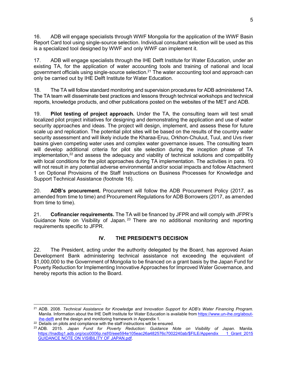16. ADB will engage specialists through WWF Mongolia for the application of the WWF Basin Report Card tool using single-source selection. Individual consultant selection will be used as this is a specialized tool designed by WWF and only WWF can implement it.

17. ADB will engage specialists through the IHE Delft Institute for Water Education, under an existing TA, for the application of water accounting tools and training of national and local government officials using single-source selection.<sup>21</sup> The water accounting tool and approach can only be carried out by IHE Delft Institute for Water Education.

18. The TA will follow standard monitoring and supervision procedures for ADB administered TA. The TA team will disseminate best practices and lessons through technical workshops and technical reports, knowledge products, and other publications posted on the websites of the MET and ADB.

19. **Pilot testing of project approach.** Under the TA, the consulting team will test small localized pilot project initiatives for designing and demonstrating the application and use of water security approaches and ideas. The project will design, implement, and assess these for future scale up and replication. The potential pilot sites will be based on the results of the country water security assessment and will likely include the Kharaa-Eruu, Orkhon-Chuluut, Tuul, and Uvs river basins given competing water uses and complex water governance issues. The consulting team will develop additional criteria for pilot site selection during the inception phase of TA implementation, $22$  and assess the adequacy and viability of technical solutions and compatibility with local conditions for the pilot approaches during TA implementation. The activities in para. 10 will not result in any potential adverse environmental and/or social impacts and follow Attachment 1 on Optional Provisions of the Staff Instructions on Business Processes for Knowledge and Support Technical Assistance (footnote 16).

20. **ADB's procurement.** Procurement will follow the ADB Procurement Policy (2017, as amended from time to time) and Procurement Regulations for ADB Borrowers (2017, as amended from time to time).

21. **Cofinancier requirements.** The TA will be financed by JFPR and will comply with JFPR's Guidance Note on Visibility of Japan. <sup>23</sup> There are no additional monitoring and reporting requirements specific to JFPR.

## **IV. THE PRESIDENT'S DECISION**

22. The President, acting under the authority delegated by the Board, has approved Asian Development Bank administering technical assistance not exceeding the equivalent of \$1,000,000 to the Government of Mongolia to be financed on a grant basis by the Japan Fund for Poverty Reduction for Implementing Innovative Approaches for Improved Water Governance, and hereby reports this action to the Board.

 $\overline{a}$ <sup>21</sup> ADB. 2008. *Technical Assistance for Knowledge and Innovation Support for ADB's Water Financing Program.* Manila. Information about the IHE Delft Institute for Water Education is available from https://www.un-ihe.org/aboutihe-delft and the design and monitoring framework in Appendix 1.

<sup>&</sup>lt;sup>22</sup> Details on pilots and compliance with the staff instructions will be ensured.

<sup>23</sup> ADB. 2015. *Japan Fund for Poverty Reduction: Guidance Note on Visibility of Japan*. Manila. https://lnadbg1.adb.org/oco0006p.nsf/0/eee594e105eac26a482576c7002240ab/\$FILE/Appendix 1 Grant 2015 GUIDANCE NOTE ON VISIBILITY OF JAPAN.pdf.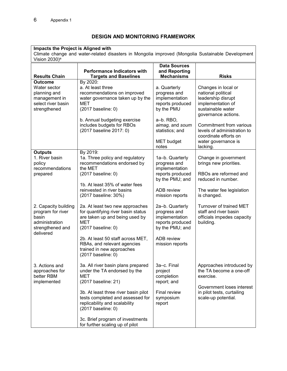# **DESIGN AND MONITORING FRAMEWORK**

| Impacts the Project is Aligned with<br>Climate change and water-related disasters in Mongolia improved (Mongolia Sustainable Development<br>Vision 2030) <sup>a</sup> |                                                                                                                                                                                                                                                                                                            |                                                                                                                                                                   |                                                                                                                                                                                                                                                        |  |  |
|-----------------------------------------------------------------------------------------------------------------------------------------------------------------------|------------------------------------------------------------------------------------------------------------------------------------------------------------------------------------------------------------------------------------------------------------------------------------------------------------|-------------------------------------------------------------------------------------------------------------------------------------------------------------------|--------------------------------------------------------------------------------------------------------------------------------------------------------------------------------------------------------------------------------------------------------|--|--|
| <b>Results Chain</b>                                                                                                                                                  | <b>Performance Indicators with</b><br><b>Targets and Baselines</b>                                                                                                                                                                                                                                         | <b>Data Sources</b><br>and Reporting<br><b>Mechanisms</b>                                                                                                         | <b>Risks</b>                                                                                                                                                                                                                                           |  |  |
| <b>Outcome</b><br>Water sector<br>planning and<br>management in<br>select river basin<br>strengthened                                                                 | By 2020:<br>a. At least three<br>recommendations on improved<br>water governance taken up by the<br>MET<br>(2017 baseline: 0)<br>b. Annual budgeting exercise<br>includes budgets for RBOs<br>(2017 baseline 2017: 0)                                                                                      | a. Quarterly<br>progress and<br>implementation<br>reports produced<br>by the PMU<br>a-b. RBO,<br>aimag, and soum<br>statistics; and<br><b>MET</b> budget<br>notes | Changes in local or<br>national political<br>leadership disrupt<br>implementation of<br>sustainable water<br>governance actions.<br>Commitment from various<br>levels of administration to<br>coordinate efforts on<br>water governance is<br>lacking. |  |  |
| <b>Outputs</b><br>1. River basin<br>policy<br>recommendations<br>prepared                                                                                             | By 2019:<br>1a. Three policy and regulatory<br>recommendations endorsed by<br>the MET<br>(2017 baseline: 0)<br>1b. At least 35% of water fees<br>reinvested in river basins<br>(2017 baseline: 30%)                                                                                                        | 1a-b. Quarterly<br>progress and<br>implementation<br>reports produced<br>by the PMU; and<br><b>ADB</b> review<br>mission reports                                  | Change in government<br>brings new priorities.<br>RBOs are reformed and<br>reduced in number.<br>The water fee legislation<br>is changed.                                                                                                              |  |  |
| 2. Capacity building<br>program for river<br>basin<br>administration<br>strengthened and<br>delivered                                                                 | 2a. At least two new approaches<br>for quantifying river basin status<br>are taken up and being used by<br>MET<br>(2017 baseline: 0)<br>2b. At least 50 staff across MET,<br>RBAs, and relevant agencies<br>trained in new approaches<br>(2017 baseline: 0)                                                | 2a-b. Quarterly<br>progress and<br>implementation<br>reports produced<br>by the PMU; and<br>ADB review<br>mission reports                                         | Turnover of trained MET<br>staff and river basin<br>officials impedes capacity<br>building.                                                                                                                                                            |  |  |
| 3. Actions and<br>approaches for<br>better RBM<br>implemented                                                                                                         | 3a. All river basin plans prepared<br>under the TA endorsed by the<br>MET<br>(2017 baseline: 21)<br>3b. At least three river basin pilot<br>tests completed and assessed for<br>replicability and scalability<br>(2017 baseline: 0)<br>3c. Brief program of investments<br>for further scaling up of pilot | 3a-c. Final<br>project<br>completion<br>report; and<br>Final review<br>symposium<br>report                                                                        | Approaches introduced by<br>the TA become a one-off<br>exercise.<br>Government loses interest<br>in pilot tests, curtailing<br>scale-up potential.                                                                                                     |  |  |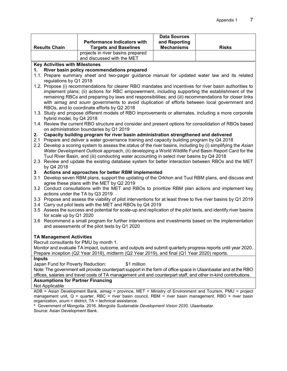| <b>Results Chain</b> | <b>Performance Indicators with</b><br><b>Targets and Baselines</b> | <b>Data Sources</b><br>and Reporting<br><b>Mechanisms</b> | <b>Risks</b> |
|----------------------|--------------------------------------------------------------------|-----------------------------------------------------------|--------------|
|                      | projects in river basins prepared<br>and discussed with the MET    |                                                           |              |

#### **Key Activities with Milestones**

#### **1. River basin policy recommendations prepared**

- 1.1. Prepare summary sheet and two-pager guidance manual for updated water law and its related regulations by Q1 2018
- 1.2. Propose (i) recommendations for clearer RBO mandates and incentives for river basin authorities to implement plans; (ii) actions for RBC empowerment, including supporting the establishment of the remaining RBCs and preparing by laws and responsibilities; and (iii) recommendations for closer links with *aimag* and *soum* governments to avoid duplication of efforts between local government and RBOs, and to coordinate efforts by Q2 2018
- 1.3. Study and propose different models of RBO improvements or alternates, including a more corporate hybrid model, by Q4 2018
- 1.4. Review the current RBO structure and consider and present options for consolidation of RBOs based on administration boundaries by Q1 2019
- **2. Capacity building program for river basin administration strengthened and delivered**
- 2.1 Prepare and deliver a water governance training and capacity building program by Q4 2018
- 2.2 Develop a scoring system to assess the status of the river basins, including by (i) simplifying the *Asian Water Development Outlook* approach, (ii) developing a World Wildlife Fund Basin Report Card for the Tuul River Basin, and (iii) conducting water accounting in select river basins by Q4 2018
- 2.3 Review and update the existing database system for better interaction between RBOs and the MET by Q4 2018
- **3 Actions and approaches for better RBM implemented**
- 3.1 Develop seven RBM plans, support the updating of the Orkhon and Tuul RBM plans, and discuss and agree these plans with the MET by Q2 2019
- 3.2 Conduct consultations with the MET and RBOs to prioritize RBM plan actions and implement key actions under the TA by Q3 2019
- 3.3 Propose and assess the viability of pilot interventions for at least three to five river basins by Q1 2019
- 3.4 Carry out pilot tests with the MET and RBOs by Q4 2019
- 3.5 Assess the success and potential for scale-up and replication of the pilot tests, and identify river basins for scale up by Q1 2020
- 3.6 Recommend a small program for further interventions and investments based on the implementation and assessments of the pilot tests by Q1 2020

### **TA Management Activities**

Recruit consultants for PMU by month 1.

Monitor and evaluate TA impact, outcome, and outputs and submit quarterly progress reports until year 2020. Prepare inception (Q2 Year 2018), midterm (Q2 Year 2019), and final (Q1 Year 2020) reports.

#### **Inputs**

Japan Fund for Poverty Reduction: \$1 million

Note: The government will provide counterpart support in the form of office space in Ulaanbaatar and at the RBO offices, salaries and travel costs of TA management unit and counterpart staff, and other in-kind contributions.

### **Assumptions for Partner Financing**

Not Applicable

ADB = Asian Development Bank, *aimag* = province, MET = Ministry of Environment and Tourism, PMU = project management unit, Q = quarter, RBC = river basin council, RBM = river basin management, RBO = river basin organization, *soum* = district, TA = technical assistance.

a Government of Mongolia. 2016. *Mongolia Sustainable Development Vision 2030*. Ulaanbaatar. Source: Asian Development Bank.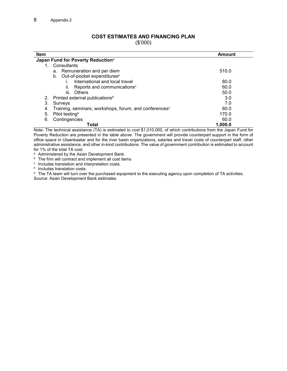## **COST ESTIMATES AND FINANCING PLAN**

(\$'000)

| Item                                                                     | Amount  |  |  |  |
|--------------------------------------------------------------------------|---------|--|--|--|
| Japan Fund for Poverty Reduction <sup>a</sup>                            |         |  |  |  |
| Consultants                                                              |         |  |  |  |
| a. Remuneration and per diem                                             | 510.0   |  |  |  |
| b. Out-of-pocket expenditures <sup>b</sup>                               |         |  |  |  |
| International and local travel                                           | 80.0    |  |  |  |
| Reports and communications <sup>c</sup><br>ii.                           | 60.0    |  |  |  |
| iii.<br>Others                                                           | 50.0    |  |  |  |
| Printed external publications <sup>d</sup><br>2.                         | 3.0     |  |  |  |
| 3.<br>Surveys                                                            | 7.0     |  |  |  |
| Training, seminars, workshops, forum, and conferences <sup>c</sup><br>4. | 60.0    |  |  |  |
| 5.<br>Pilot testing <sup>e</sup>                                         | 170.0   |  |  |  |
| Contingencies<br>6.                                                      | 60.0    |  |  |  |
| Total                                                                    | 1,000.0 |  |  |  |

Note: The technical assistance (TA) is estimated to cost \$1,010,000, of which contributions from the Japan Fund for Poverty Reduction are presented in the table above. The government will provide counterpart support in the form of office space in Ulaanbaatar and for the river basin organizations, salaries and travel costs of counterpart staff, other administrative assistance, and other in-kind contributions. The value of government contribution is estimated to account for 1% of the total TA cost.

<sup>a</sup> Administered by the Asian Development Bank.

**b** The firm will contract and implement all cost items

<sup>c</sup> Includes translation and interpretation costs.

<sup>d</sup> Includes translation costs.

 $e$  The TA team will turn over the purchased equipment to the executing agency upon completion of TA activities. Source: Asian Development Bank estimates.